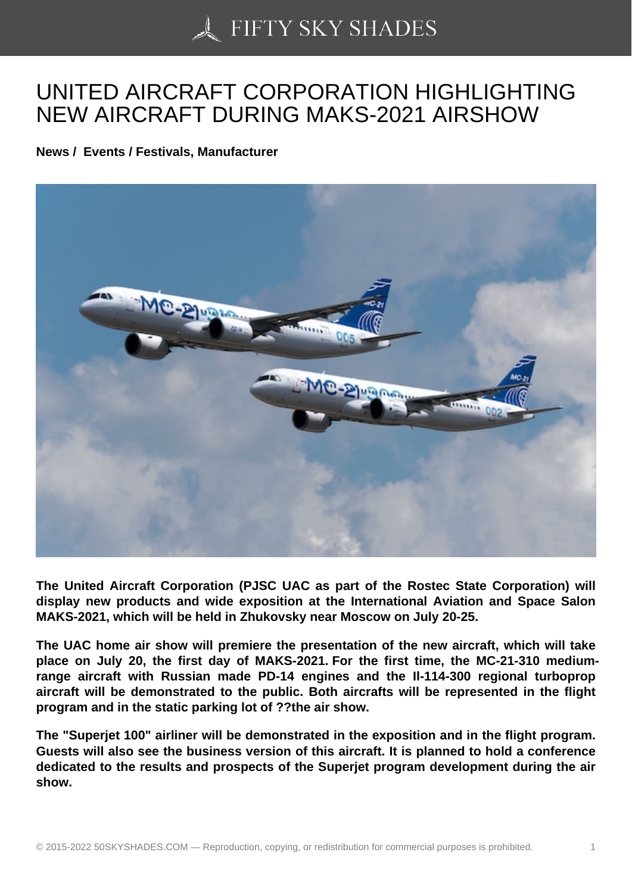## [UNITED AIRCRAFT C](https://50skyshades.com)ORPORATION HIGHLIGHTING NEW AIRCRAFT DURING MAKS-2021 AIRSHOW

News / Events / Festivals, Manufacturer

The United Aircraft Corporation (PJSC UAC as part of the Rostec State Corporation) will display new products and wide exposition at the International Aviation and Space Salon MAKS-2021, which will be held in Zhukovsky near Moscow on July 20-25.

The UAC home air show will premiere the presentation of the new aircraft, which will take place on July 20, the first day of MAKS-2021. For the first time, the MC-21-310 mediumrange aircraft with Russian made PD-14 engines and the Il-114-300 regional turboprop aircraft will be demonstrated to the public. Both aircrafts will be represented in the flight program and in the static parking lot of ??the air show.

The "Superjet 100" airliner will be demonstrated in the exposition and in the flight program. Guests will also see the business version of this aircraft. It is planned to hold a conference dedicated to the results and prospects of the Superjet program development during the air show.